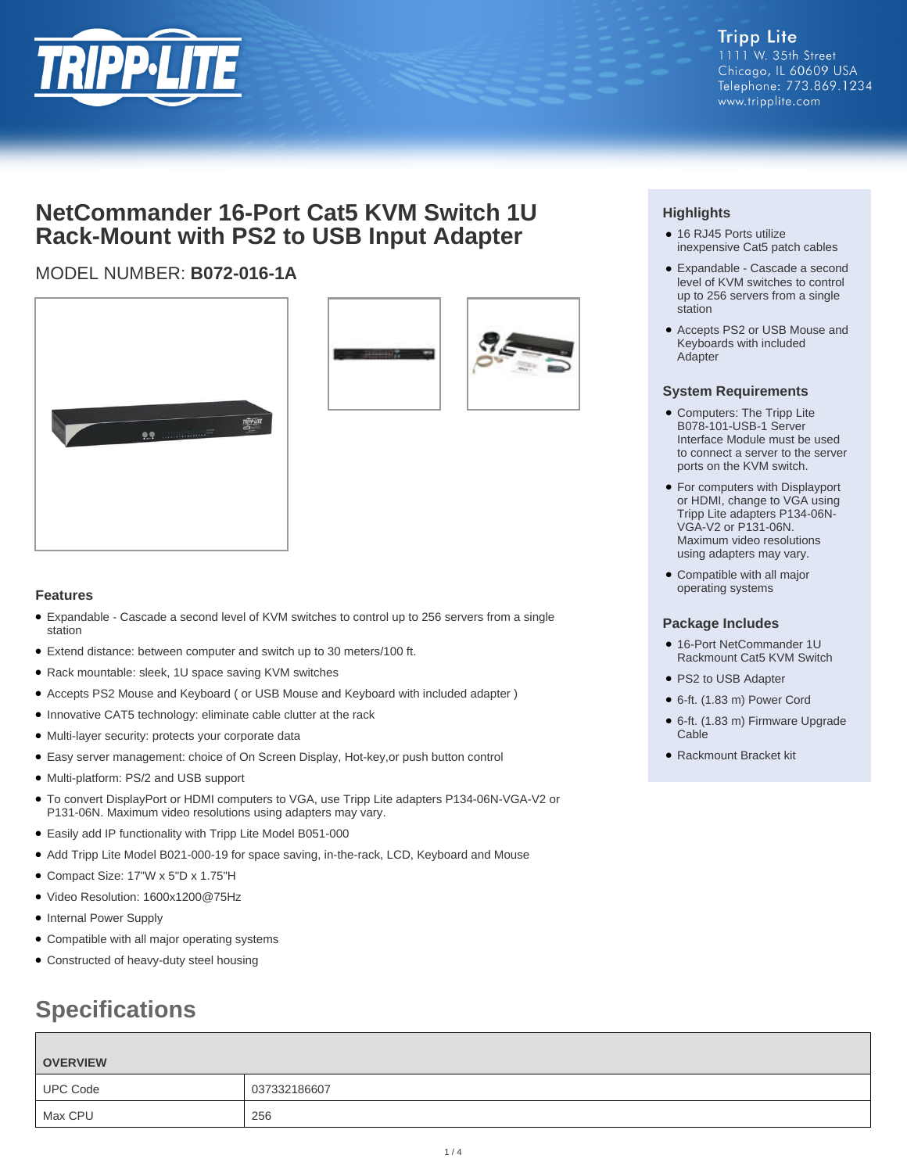

## **NetCommander 16-Port Cat5 KVM Switch 1U Rack-Mount with PS2 to USB Input Adapter**

### MODEL NUMBER: **B072-016-1A**





### **Features**

- Expandable Cascade a second level of KVM switches to control up to 256 servers from a single station
- Extend distance: between computer and switch up to 30 meters/100 ft.
- Rack mountable: sleek, 1U space saving KVM switches
- Accepts PS2 Mouse and Keyboard ( or USB Mouse and Keyboard with included adapter )
- Innovative CAT5 technology: eliminate cable clutter at the rack
- Multi-layer security: protects your corporate data
- Easy server management: choice of On Screen Display, Hot-key,or push button control
- Multi-platform: PS/2 and USB support
- To convert DisplayPort or HDMI computers to VGA, use Tripp Lite adapters P134-06N-VGA-V2 or P131-06N. Maximum video resolutions using adapters may vary.
- Easily add IP functionality with Tripp Lite Model B051-000
- Add Tripp Lite Model B021-000-19 for space saving, in-the-rack, LCD, Keyboard and Mouse
- Compact Size: 17"W x 5"D x 1.75"H
- Video Resolution: 1600x1200@75Hz
- Internal Power Supply
- Compatible with all major operating systems
- Constructed of heavy-duty steel housing

# **Specifications**

| <b>OVERVIEW</b> |              |
|-----------------|--------------|
| <b>UPC Code</b> | 037332186607 |
| Max CPU         | 256          |

### **Highlights**

- 16 RJ45 Ports utilize inexpensive Cat5 patch cables
- Expandable Cascade a second level of KVM switches to control up to 256 servers from a single station
- Accepts PS2 or USB Mouse and Keyboards with included Adapter

#### **System Requirements**

- Computers: The Tripp Lite B078-101-USB-1 Server Interface Module must be used to connect a server to the server ports on the KVM switch.
- For computers with Displayport or HDMI, change to VGA using Tripp Lite adapters P134-06N-VGA-V2 or P131-06N. Maximum video resolutions using adapters may vary.
- Compatible with all major operating systems

### **Package Includes**

- 16-Port NetCommander 1U Rackmount Cat5 KVM Switch
- PS2 to USB Adapter
- 6-ft. (1.83 m) Power Cord
- 6-ft. (1.83 m) Firmware Upgrade Cable
- Rackmount Bracket kit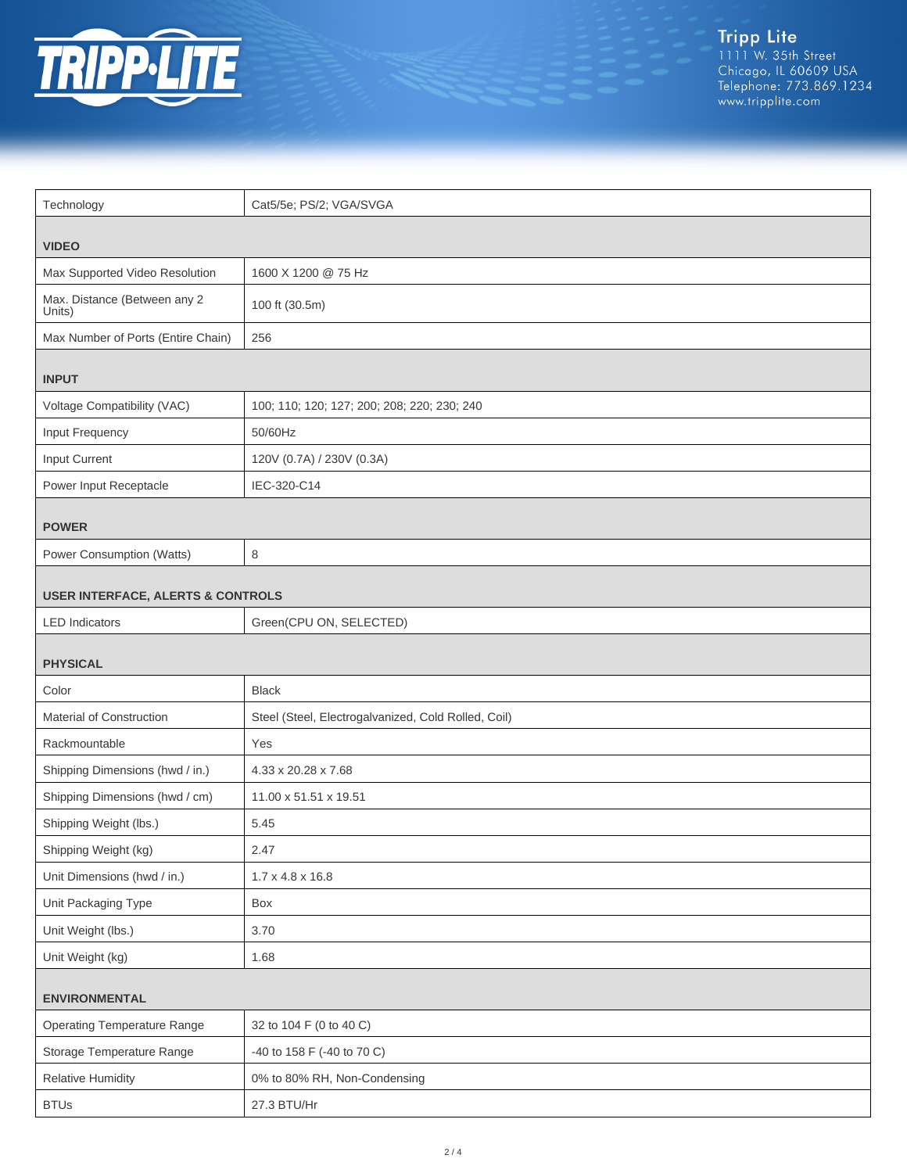

| Technology                                   | Cat5/5e; PS/2; VGA/SVGA                             |  |
|----------------------------------------------|-----------------------------------------------------|--|
|                                              |                                                     |  |
| <b>VIDEO</b>                                 |                                                     |  |
| Max Supported Video Resolution               | 1600 X 1200 @ 75 Hz                                 |  |
| Max. Distance (Between any 2<br>Units)       | 100 ft (30.5m)                                      |  |
| Max Number of Ports (Entire Chain)           | 256                                                 |  |
| <b>INPUT</b>                                 |                                                     |  |
| Voltage Compatibility (VAC)                  | 100; 110; 120; 127; 200; 208; 220; 230; 240         |  |
| Input Frequency                              | 50/60Hz                                             |  |
| Input Current                                | 120V (0.7A) / 230V (0.3A)                           |  |
| Power Input Receptacle                       | IEC-320-C14                                         |  |
| <b>POWER</b>                                 |                                                     |  |
| Power Consumption (Watts)                    | 8                                                   |  |
| <b>USER INTERFACE, ALERTS &amp; CONTROLS</b> |                                                     |  |
| <b>LED</b> Indicators                        | Green(CPU ON, SELECTED)                             |  |
| <b>PHYSICAL</b>                              |                                                     |  |
|                                              |                                                     |  |
| Color                                        | <b>Black</b>                                        |  |
| Material of Construction                     | Steel (Steel, Electrogalvanized, Cold Rolled, Coil) |  |
| Rackmountable                                | Yes                                                 |  |
| Shipping Dimensions (hwd / in.)              | 4.33 x 20.28 x 7.68                                 |  |
| Shipping Dimensions (hwd / cm)               | 11.00 x 51.51 x 19.51                               |  |
| Shipping Weight (lbs.)                       | 5.45                                                |  |
| Shipping Weight (kg)                         | 2.47                                                |  |
| Unit Dimensions (hwd / in.)                  | $1.7 \times 4.8 \times 16.8$                        |  |
| Unit Packaging Type                          | Box                                                 |  |
| Unit Weight (lbs.)                           | 3.70                                                |  |
| Unit Weight (kg)                             | 1.68                                                |  |
| <b>ENVIRONMENTAL</b>                         |                                                     |  |
| <b>Operating Temperature Range</b>           | 32 to 104 F (0 to 40 C)                             |  |
| Storage Temperature Range                    | -40 to 158 F (-40 to 70 C)                          |  |
| <b>Relative Humidity</b>                     | 0% to 80% RH, Non-Condensing                        |  |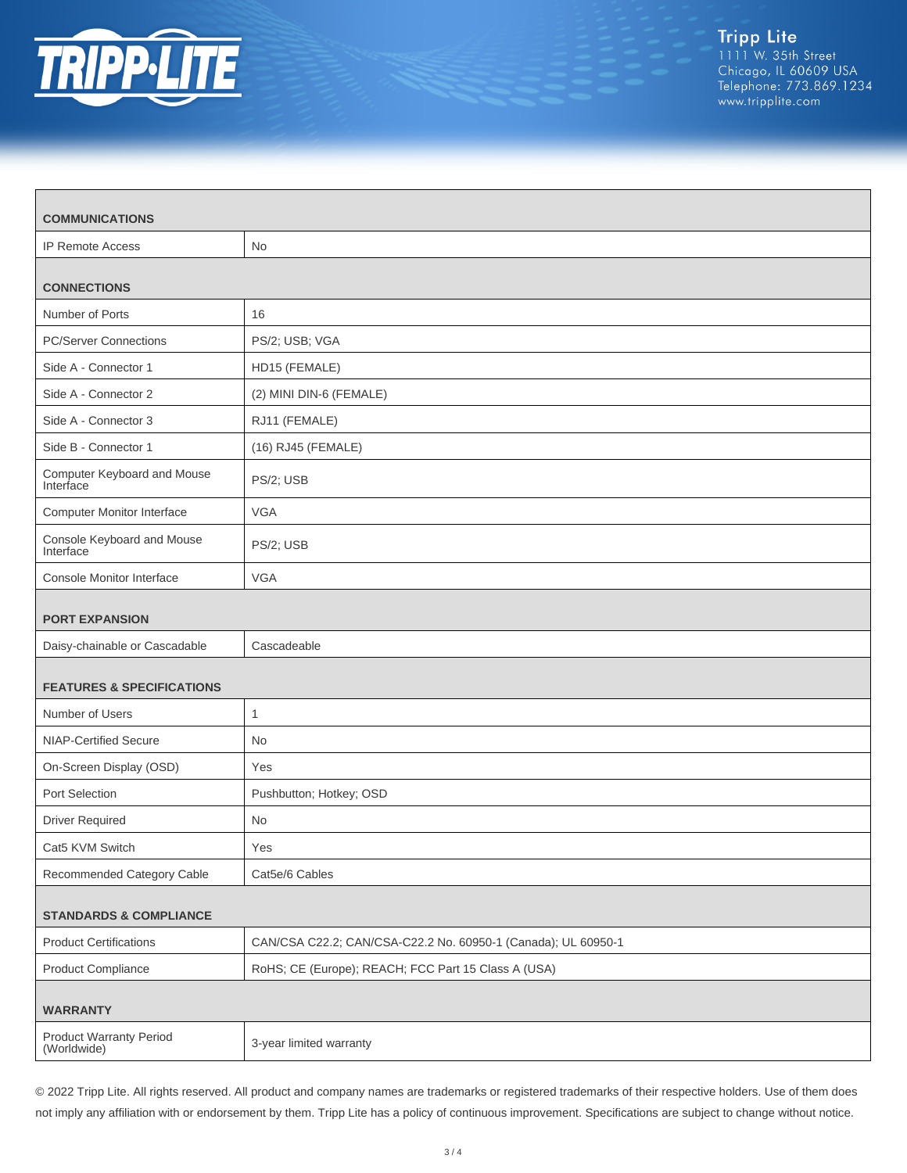

| <b>COMMUNICATIONS</b>                         |                                                               |  |
|-----------------------------------------------|---------------------------------------------------------------|--|
| <b>IP Remote Access</b>                       | <b>No</b>                                                     |  |
| <b>CONNECTIONS</b>                            |                                                               |  |
| Number of Ports                               | 16                                                            |  |
| <b>PC/Server Connections</b>                  | PS/2; USB; VGA                                                |  |
| Side A - Connector 1                          | HD15 (FEMALE)                                                 |  |
| Side A - Connector 2                          | (2) MINI DIN-6 (FEMALE)                                       |  |
| Side A - Connector 3                          | RJ11 (FEMALE)                                                 |  |
| Side B - Connector 1                          | (16) RJ45 (FEMALE)                                            |  |
| Computer Keyboard and Mouse<br>Interface      | PS/2; USB                                                     |  |
| <b>Computer Monitor Interface</b>             | <b>VGA</b>                                                    |  |
| Console Keyboard and Mouse<br>Interface       | PS/2; USB                                                     |  |
| <b>Console Monitor Interface</b>              | <b>VGA</b>                                                    |  |
| <b>PORT EXPANSION</b>                         |                                                               |  |
| Daisy-chainable or Cascadable                 | Cascadeable                                                   |  |
| <b>FEATURES &amp; SPECIFICATIONS</b>          |                                                               |  |
| Number of Users                               | $\mathbf{1}$                                                  |  |
| NIAP-Certified Secure                         | No.                                                           |  |
| On-Screen Display (OSD)                       | Yes                                                           |  |
| Port Selection                                | Pushbutton; Hotkey; OSD                                       |  |
| <b>Driver Required</b>                        | No                                                            |  |
| Cat5 KVM Switch                               | Yes                                                           |  |
| Recommended Category Cable                    | Cat5e/6 Cables                                                |  |
| <b>STANDARDS &amp; COMPLIANCE</b>             |                                                               |  |
| <b>Product Certifications</b>                 | CAN/CSA C22.2; CAN/CSA-C22.2 No. 60950-1 (Canada); UL 60950-1 |  |
| <b>Product Compliance</b>                     | RoHS; CE (Europe); REACH; FCC Part 15 Class A (USA)           |  |
| <b>WARRANTY</b>                               |                                                               |  |
| <b>Product Warranty Period</b><br>(Worldwide) | 3-year limited warranty                                       |  |

© 2022 Tripp Lite. All rights reserved. All product and company names are trademarks or registered trademarks of their respective holders. Use of them does not imply any affiliation with or endorsement by them. Tripp Lite has a policy of continuous improvement. Specifications are subject to change without notice.